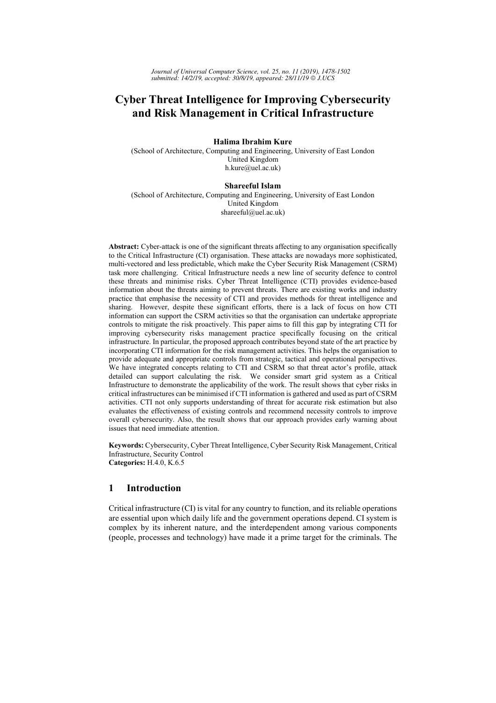# **Cyber Threat Intelligence for Improving Cybersecurity** and Risk Management in Critical Infrastructure

# Halima Ibrahim Kure

(School of Architecture, Computing and Engineering, University of East London United Kingdom h.kure@uel.ac.uk)

# **Shareeful Islam**

(School of Architecture, Computing and Engineering, University of East London United Kingdom shareeful@uel.ac.uk)

Abstract: Cyber-attack is one of the significant threats affecting to any organisation specifically to the Critical Infrastructure (CI) organisation. These attacks are nowadays more sophisticated, multi-vectored and less predictable, which make the Cyber Security Risk Management (CSRM) task more challenging. Critical Infrastructure needs a new line of security defence to control these threats and minimise risks. Cyber Threat Intelligence (CTI) provides evidence-based information about the threats aiming to prevent threats. There are existing works and industry practice that emphasise the necessity of CTI and provides methods for threat intelligence and sharing. However, despite these significant efforts, there is a lack of focus on how CTI information can support the CSRM activities so that the organisation can undertake appropriate controls to mitigate the risk proactively. This paper aims to fill this gap by integrating CTI for improving cybersecurity risks management practice specifically focusing on the critical infrastructure. In particular, the proposed approach contributes beyond state of the art practice by incorporating CTI information for the risk management activities. This helps the organisation to provide adequate and appropriate controls from strategic, tactical and operational perspectives. We have integrated concepts relating to CTI and CSRM so that threat actor's profile, attack detailed can support calculating the risk. We consider smart grid system as a Critical Infrastructure to demonstrate the applicability of the work. The result shows that cyber risks in critical infrastructures can be minimised if CTI information is gathered and used as part of CSRM activities. CTI not only supports understanding of threat for accurate risk estimation but also evaluates the effectiveness of existing controls and recommend necessity controls to improve overall cybersecurity. Also, the result shows that our approach provides early warning about issues that need immediate attention.

Keywords: Cybersecurity, Cyber Threat Intelligence, Cyber Security Risk Management, Critical Infrastructure, Security Control Categories: H.4.0, K.6.5

### $\mathbf{1}$ **Introduction**

Critical infrastructure (CI) is vital for any country to function, and its reliable operations are essential upon which daily life and the government operations depend. CI system is complex by its inherent nature, and the interdependent among various components (people, processes and technology) have made it a prime target for the criminals. The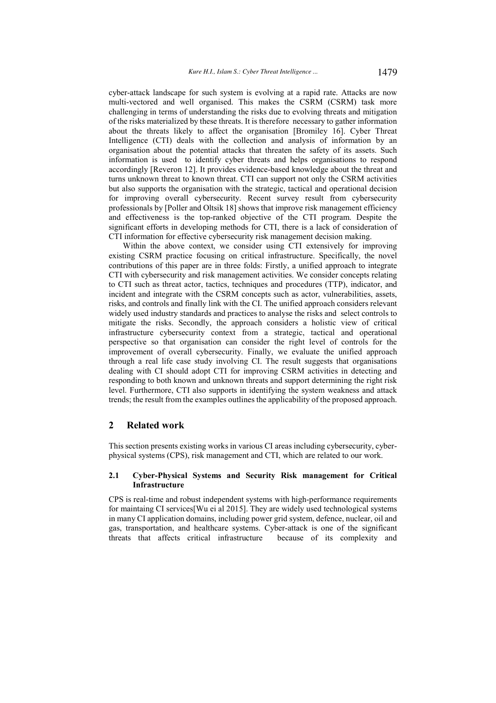cyber-attack landscape for such system is evolving at a rapid rate. Attacks are now multi-vectored and well organised. This makes the CSRM (CSRM) task more challenging in terms of understanding the risks due to evolving threats and mitigation of the risks materialized by these threats. It is therefore necessary to gather information about the threats likely to affect the organisation [Bromiley 16]. Cyber Threat Intelligence (CTI) deals with the collection and analysis of information by an organisation about the potential attacks that threaten the safety of its assets. Such information is used to identify cyber threats and helps organisations to respond accordingly [Reveron 12]. It provides evidence-based knowledge about the threat and turns unknown threat to known threat. CTI can support not only the CSRM activities but also supports the organisation with the strategic, tactical and operational decision for improving overall cybersecurity. Recent survey result from cybersecurity professionals by [Poller and Oltsik 18] shows that improve risk management efficiency and effectiveness is the top-ranked objective of the CTI program. Despite the significant efforts in developing methods for CTI, there is a lack of consideration of CTI information for effective cybersecurity risk management decision making.

Within the above context, we consider using CTI extensively for improving existing CSRM practice focusing on critical infrastructure. Specifically, the novel contributions of this paper are in three folds: Firstly, a unified approach to integrate CTI with cybersecurity and risk management activities. We consider concepts relating to CTI such as threat actor, tactics, techniques and procedures (TTP), indicator, and incident and integrate with the CSRM concepts such as actor, vulnerabilities, assets, risks, and controls and finally link with the CI. The unified approach considers relevant widely used industry standards and practices to analyse the risks and select controls to mitigate the risks. Secondly, the approach considers a holistic view of critical infrastructure cybersecurity context from a strategic, tactical and operational perspective so that organisation can consider the right level of controls for the improvement of overall cybersecurity. Finally, we evaluate the unified approach through a real life case study involving CI. The result suggests that organisations dealing with CI should adopt CTI for improving CSRM activities in detecting and responding to both known and unknown threats and support determining the right risk level. Furthermore, CTI also supports in identifying the system weakness and attack trends; the result from the examples outlines the applicability of the proposed approach.

# 2 Related work

This section presents existing works in various CI areas including cybersecurity, cyberphysical systems (CPS), risk management and CTI, which are related to our work.

# 2.1 Cyber-Physical Systems and Security Risk management for Critical **Infrastructure**

CPS is real-time and robust independent systems with high-performance requirements for maintaing CI services  $Wu$  ei al 2015). They are widely used technological systems in many CI application domains, including power grid system, defence, nuclear, oil and gas, transportation, and healthcare systems. Cyber-attack is one of the significant threats that affects critical infrastructure because of its complexity and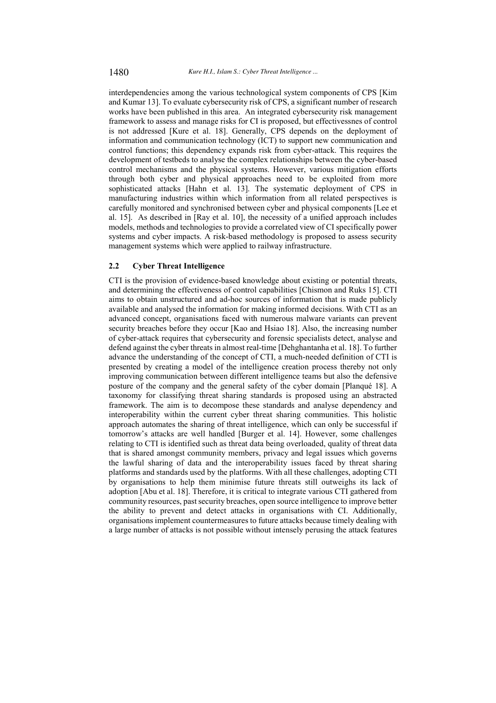interdependencies among the various technological system components of CPS [Kim and Kumar 13]. To evaluate cybersecurity risk of CPS, a significant number of research works have been published in this area. An integrated cybersecurity risk management framework to assess and manage risks for CI is proposed, but effectivessnes of control is not addressed [Kure et al. 18]. Generally, CPS depends on the deployment of information and communication technology (ICT) to support new communication and control functions; this dependency expands risk from cyber-attack. This requires the development of testbeds to analyse the complex relationships between the cyber-based control mechanisms and the physical systems. However, various mitigation efforts through both cyber and physical approaches need to be exploited from more sophisticated attacks [Hahn et al. 13]. The systematic deployment of CPS in manufacturing industries within which information from all related perspectives is carefully monitored and synchronised between cyber and physical components [Lee et al. 15]. As described in [Ray et al. 10], the necessity of a unified approach includes models, methods and technologies to provide a correlated view of CI specifically power systems and cyber impacts. A risk-based methodology is proposed to assess security management systems which were applied to railway infrastructure.

#### $2.2$ **Cyber Threat Intelligence**

CTI is the provision of evidence-based knowledge about existing or potential threats. and determining the effectiveness of control capabilities [Chismon and Ruks 15]. CTI aims to obtain unstructured and ad-hoc sources of information that is made publicly available and analysed the information for making informed decisions. With CTI as an advanced concept, organisations faced with numerous malware variants can prevent security breaches before they occur [Kao and Hsiao 18]. Also, the increasing number of cyber-attack requires that cybersecurity and forensic specialists detect, analyse and defend against the cyber threats in almost real-time [Dehghantanha et al. 18]. To further advance the understanding of the concept of CTI, a much-needed definition of CTI is presented by creating a model of the intelligence creation process thereby not only improving communication between different intelligence teams but also the defensive posture of the company and the general safety of the cyber domain [Planqué 18]. A taxonomy for classifying threat sharing standards is proposed using an abstracted framework. The aim is to decompose these standards and analyse dependency and interoperability within the current cyber threat sharing communities. This holistic approach automates the sharing of threat intelligence, which can only be successful if tomorrow's attacks are well handled [Burger et al. 14]. However, some challenges relating to CTI is identified such as threat data being overloaded, quality of threat data that is shared amongst community members, privacy and legal issues which governs the lawful sharing of data and the interoperability issues faced by threat sharing platforms and standards used by the platforms. With all these challenges, adopting CTI by organisations to help them minimise future threats still outweighs its lack of adoption [Abu et al. 18]. Therefore, it is critical to integrate various CTI gathered from community resources, past security breaches, open source intelligence to improve better the ability to prevent and detect attacks in organisations with CI. Additionally, organisations implement countermeasures to future attacks because timely dealing with a large number of attacks is not possible without intensely perusing the attack features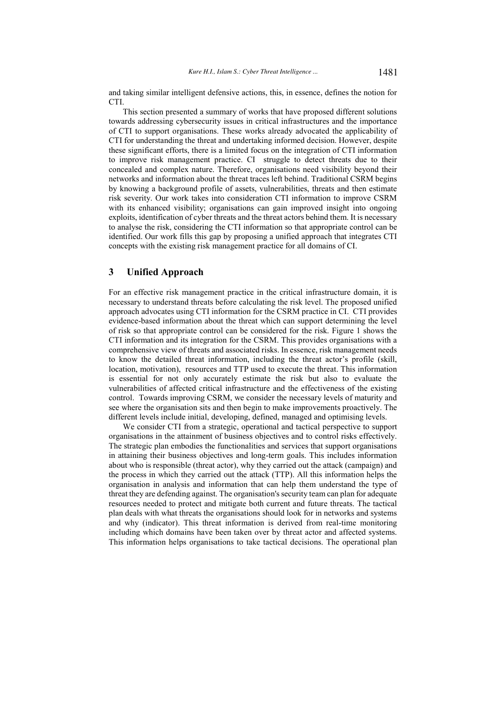and taking similar intelligent defensive actions, this, in essence, defines the notion for CTI.

This section presented a summary of works that have proposed different solutions towards addressing cybersecurity issues in critical infrastructures and the importance of CTI to support organisations. These works already advocated the applicability of CTI for understanding the threat and undertaking informed decision. However, despite these significant efforts, there is a limited focus on the integration of CTI information to improve risk management practice. CI struggle to detect threats due to their concealed and complex nature. Therefore, organisations need visibility beyond their networks and information about the threat traces left behind. Traditional CSRM begins by knowing a background profile of assets, vulnerabilities, threats and then estimate risk severity. Our work takes into consideration CTI information to improve CSRM with its enhanced visibility; organisations can gain improved insight into ongoing exploits, identification of cyber threats and the threat actors behind them. It is necessary to analyse the risk, considering the CTI information so that appropriate control can be identified. Our work fills this gap by proposing a unified approach that integrates CTI concepts with the existing risk management practice for all domains of CI.

# 3 **Unified Approach**

For an effective risk management practice in the critical infrastructure domain, it is necessary to understand threats before calculating the risk level. The proposed unified approach advocates using CTI information for the CSRM practice in CI. CTI provides evidence-based information about the threat which can support determining the level of risk so that appropriate control can be considered for the risk. Figure 1 shows the CTI information and its integration for the CSRM. This provides organisations with a comprehensive view of threats and associated risks. In essence, risk management needs to know the detailed threat information, including the threat actor's profile (skill, location, motivation), resources and TTP used to execute the threat. This information is essential for not only accurately estimate the risk but also to evaluate the vulnerabilities of affected critical infrastructure and the effectiveness of the existing control. Towards improving CSRM, we consider the necessary levels of maturity and see where the organisation sits and then begin to make improvements proactively. The different levels include initial, developing, defined, managed and optimising levels.

We consider CTI from a strategic, operational and tactical perspective to support organisations in the attainment of business objectives and to control risks effectively. The strategic plan embodies the functionalities and services that support organisations in attaining their business objectives and long-term goals. This includes information about who is responsible (threat actor), why they carried out the attack (campaign) and the process in which they carried out the attack (TTP). All this information helps the organisation in analysis and information that can help them understand the type of threat they are defending against. The organisation's security team can plan for adequate resources needed to protect and mitigate both current and future threats. The tactical plan deals with what threats the organisations should look for in networks and systems and why (indicator). This threat information is derived from real-time monitoring including which domains have been taken over by threat actor and affected systems. This information helps organisations to take tactical decisions. The operational plan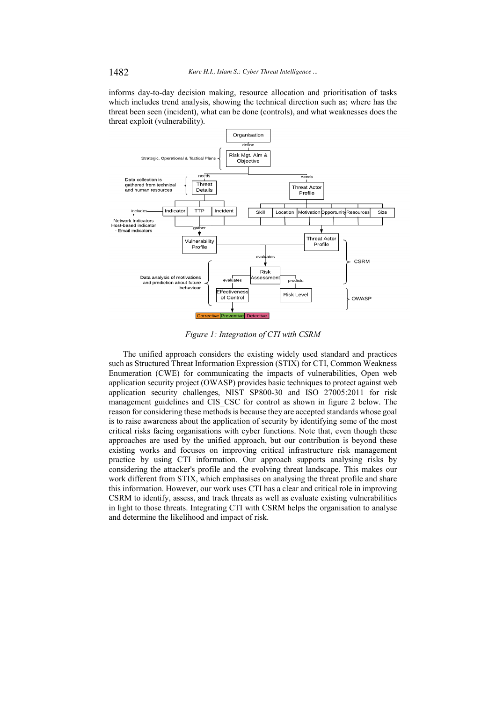informs day-to-day decision making, resource allocation and prioritisation of tasks which includes trend analysis, showing the technical direction such as; where has the threat been seen (incident), what can be done (controls), and what weaknesses does the threat exploit (vulnerability).



Figure 1: Integration of CTI with CSRM

The unified approach considers the existing widely used standard and practices such as Structured Threat Information Expression (STIX) for CTI, Common Weakness Enumeration (CWE) for communicating the impacts of vulnerabilities, Open web application security project (OWASP) provides basic techniques to protect against web application security challenges, NIST SP800-30 and ISO 27005:2011 for risk management guidelines and CIS\_CSC for control as shown in figure 2 below. The reason for considering these methods is because they are accepted standards whose goal is to raise awareness about the application of security by identifying some of the most critical risks facing organisations with cyber functions. Note that, even though these approaches are used by the unified approach, but our contribution is beyond these existing works and focuses on improving critical infrastructure risk management practice by using CTI information. Our approach supports analysing risks by considering the attacker's profile and the evolving threat landscape. This makes our work different from STIX, which emphasises on analysing the threat profile and share this information. However, our work uses CTI has a clear and critical role in improving CSRM to identify, assess, and track threats as well as evaluate existing vulnerabilities in light to those threats. Integrating CTI with CSRM helps the organisation to analyse and determine the likelihood and impact of risk.

1482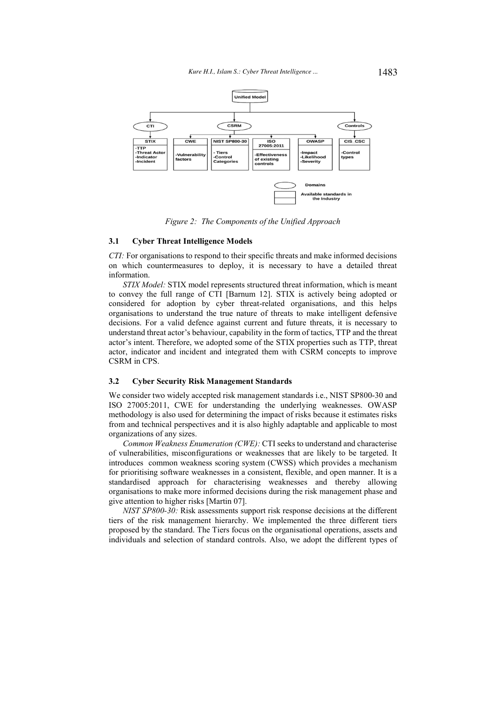

Figure 2: The Components of the Unified Approach

### **Cyber Threat Intelligence Models**  $3.1$

CTI: For organisations to respond to their specific threats and make informed decisions on which countermeasures to deploy, it is necessary to have a detailed threat information.

STIX Model: STIX model represents structured threat information, which is meant to convey the full range of CTI [Barnum 12]. STIX is actively being adopted or considered for adoption by cyber threat-related organisations, and this helps organisations to understand the true nature of threats to make intelligent defensive decisions. For a valid defence against current and future threats, it is necessary to understand threat actor's behaviour, capability in the form of tactics, TTP and the threat actor's intent. Therefore, we adopted some of the STIX properties such as TTP, threat actor, indicator and incident and integrated them with CSRM concepts to improve CSRM in CPS.

#### $3.2$ **Cyber Security Risk Management Standards**

We consider two widely accepted risk management standards *i.e.*, NIST SP800-30 and ISO 27005:2011, CWE for understanding the underlying weaknesses. OWASP methodology is also used for determining the impact of risks because it estimates risks from and technical perspectives and it is also highly adaptable and applicable to most organizations of any sizes.

Common Weakness Enumeration (CWE): CTI seeks to understand and characterise of vulnerabilities, misconfigurations or weaknesses that are likely to be targeted. It introduces common weakness scoring system (CWSS) which provides a mechanism for prioritising software weaknesses in a consistent, flexible, and open manner. It is a standardised approach for characterising weaknesses and thereby allowing organisations to make more informed decisions during the risk management phase and give attention to higher risks [Martin 07].

NIST SP800-30: Risk assessments support risk response decisions at the different tiers of the risk management hierarchy. We implemented the three different tiers proposed by the standard. The Tiers focus on the organisational operations, assets and individuals and selection of standard controls. Also, we adopt the different types of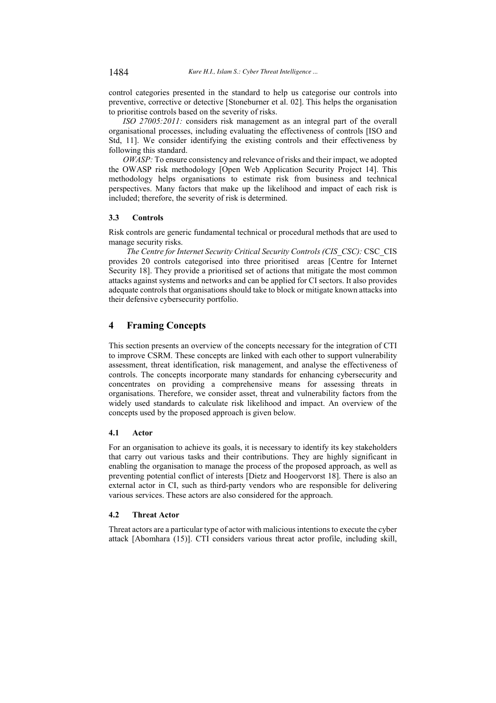control categories presented in the standard to help us categorise our controls into preventive, corrective or detective [Stoneburner et al. 02]. This helps the organisation to prioritise controls based on the severity of risks.

ISO 27005:2011: considers risk management as an integral part of the overall organisational processes, including evaluating the effectiveness of controls [ISO and Std, 11]. We consider identifying the existing controls and their effectiveness by following this standard.

OWASP: To ensure consistency and relevance of risks and their impact, we adopted the OWASP risk methodology [Open Web Application Security Project 14]. This methodology helps organisations to estimate risk from business and technical perspectives. Many factors that make up the likelihood and impact of each risk is included; therefore, the severity of risk is determined.

#### $3.3$ **Controls**

Risk controls are generic fundamental technical or procedural methods that are used to manage security risks.

The Centre for Internet Security Critical Security Controls (CIS CSC): CSC CIS provides 20 controls categorised into three prioritised areas [Centre for Internet Security 18]. They provide a prioritised set of actions that mitigate the most common attacks against systems and networks and can be applied for CI sectors. It also provides adequate controls that organisations should take to block or mitigate known attacks into their defensive cybersecurity portfolio.

### $\overline{\mathbf{4}}$ **Framing Concepts**

This section presents an overview of the concepts necessary for the integration of CTI to improve CSRM. These concepts are linked with each other to support vulnerability assessment, threat identification, risk management, and analyse the effectiveness of controls. The concepts incorporate many standards for enhancing cybersecurity and concentrates on providing a comprehensive means for assessing threats in organisations. Therefore, we consider asset, threat and vulnerability factors from the widely used standards to calculate risk likelihood and impact. An overview of the concepts used by the proposed approach is given below.

### 4.1 Actor

For an organisation to achieve its goals, it is necessary to identify its key stakeholders that carry out various tasks and their contributions. They are highly significant in enabling the organisation to manage the process of the proposed approach, as well as preventing potential conflict of interests [Dietz and Hoogervorst 18]. There is also an external actor in CI, such as third-party vendors who are responsible for delivering various services. These actors are also considered for the approach.

### $4.2$ **Threat Actor**

Threat actors are a particular type of actor with malicious intentions to execute the cyber attack [Abomhara (15)]. CTI considers various threat actor profile, including skill,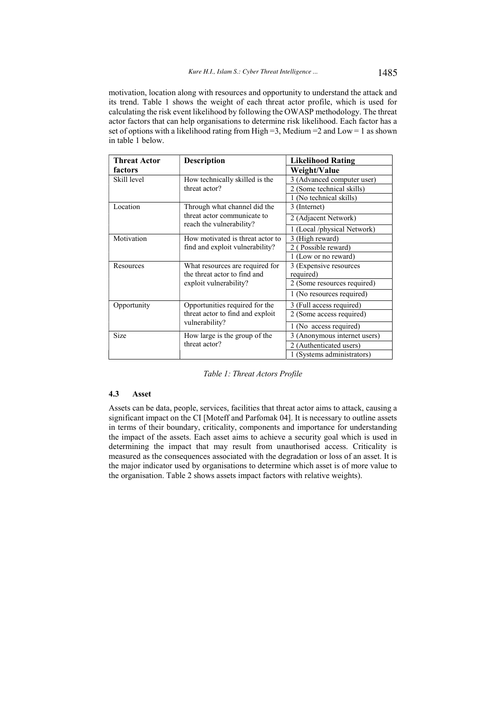motivation, location along with resources and opportunity to understand the attack and its trend. Table 1 shows the weight of each threat actor profile, which is used for calculating the risk event likelihood by following the OWASP methodology. The threat actor factors that can help organisations to determine risk likelihood. Each factor has a set of options with a likelihood rating from High = 3, Medium =  $2$  and Low = 1 as shown in table 1 below.

| <b>Threat Actor</b> | <b>Description</b>                                      | <b>Likelihood Rating</b>                              |  |  |  |
|---------------------|---------------------------------------------------------|-------------------------------------------------------|--|--|--|
| factors             |                                                         | Weight/Value                                          |  |  |  |
| Skill level         | How technically skilled is the                          | 3 (Advanced computer user)                            |  |  |  |
|                     | threat actor?                                           | 2 (Some technical skills)                             |  |  |  |
|                     |                                                         | 1 (No technical skills)                               |  |  |  |
| Location            | Through what channel did the                            | 3 (Internet)                                          |  |  |  |
|                     | threat actor communicate to<br>reach the vulnerability? | 2 (Adjacent Network)                                  |  |  |  |
|                     |                                                         | (Local /physical Network)                             |  |  |  |
| Motivation          | How motivated is threat actor to                        | (High reward)<br>3                                    |  |  |  |
|                     | find and exploit vulnerability?                         | Possible reward)<br>2(                                |  |  |  |
|                     |                                                         | 1 (Low or no reward)                                  |  |  |  |
| Resources           | What resources are required for                         | 3 (Expensive resources                                |  |  |  |
|                     | the threat actor to find and                            | required)                                             |  |  |  |
|                     | exploit vulnerability?                                  | 2 (Some resources required)                           |  |  |  |
|                     |                                                         | 1 (No resources required)                             |  |  |  |
| Opportunity         | Opportunities required for the                          | 3 (Full access required)                              |  |  |  |
|                     | threat actor to find and exploit                        | 2 (Some access required)                              |  |  |  |
|                     | vulnerability?                                          | 1 (No access required)                                |  |  |  |
| Size                | How large is the group of the                           | 3 (Anonymous internet users)                          |  |  |  |
|                     | threat actor?                                           | 2 (Authenticated users)<br>1 (Systems administrators) |  |  |  |
|                     |                                                         |                                                       |  |  |  |

Table 1: Threat Actors Profile

### $4.3$ **Asset**

Assets can be data, people, services, facilities that threat actor aims to attack, causing a significant impact on the CI [Moteff and Parfomak 04]. It is necessary to outline assets in terms of their boundary, criticality, components and importance for understanding the impact of the assets. Each asset aims to achieve a security goal which is used in determining the impact that may result from unauthorised access. Criticality is measured as the consequences associated with the degradation or loss of an asset. It is the major indicator used by organisations to determine which asset is of more value to the organisation. Table 2 shows assets impact factors with relative weights).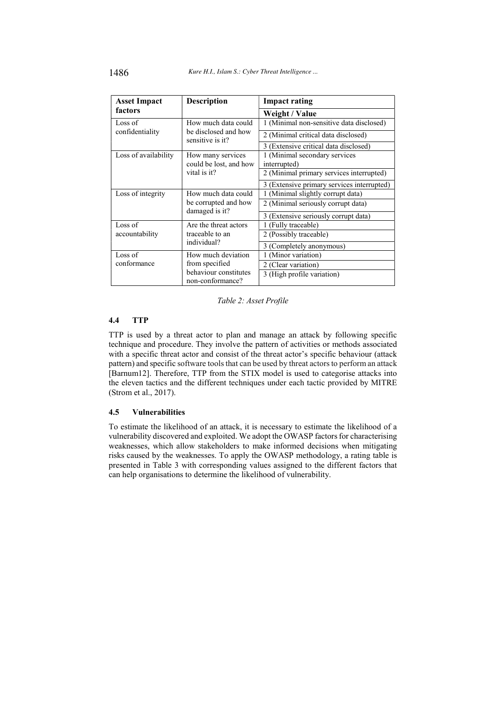| <b>Asset Impact</b>  | <b>Description</b>                        | <b>Impact rating</b>                       |  |  |  |
|----------------------|-------------------------------------------|--------------------------------------------|--|--|--|
| factors              |                                           | Weight / Value                             |  |  |  |
| Loss of              | How much data could                       | 1 (Minimal non-sensitive data disclosed)   |  |  |  |
| confidentiality      | be disclosed and how<br>sensitive is it?  | 2 (Minimal critical data disclosed)        |  |  |  |
|                      |                                           | 3 (Extensive critical data disclosed)      |  |  |  |
| Loss of availability | How many services                         | 1 (Minimal secondary services              |  |  |  |
|                      | could be lost, and how                    | interrupted)                               |  |  |  |
|                      | vital is it?                              | 2 (Minimal primary services interrupted)   |  |  |  |
|                      |                                           | 3 (Extensive primary services interrupted) |  |  |  |
| Loss of integrity    | How much data could                       | 1 (Minimal slightly corrupt data)          |  |  |  |
|                      | be corrupted and how<br>damaged is it?    | 2 (Minimal seriously corrupt data)         |  |  |  |
|                      |                                           | 3 (Extensive seriously corrupt data)       |  |  |  |
| Loss of              | Are the threat actors                     | 1 (Fully traceable)                        |  |  |  |
| accountability       | traceable to an                           | 2 (Possibly traceable)                     |  |  |  |
|                      | individual?                               | 3 (Completely anonymous)                   |  |  |  |
| Loss of              | How much deviation                        | 1 (Minor variation)                        |  |  |  |
| conformance          | from specified                            | 2 (Clear variation)                        |  |  |  |
|                      | behaviour constitutes<br>non-conformance? | 3 (High profile variation)                 |  |  |  |

Table 2: Asset Profile

### $4.4$ **TTP**

TTP is used by a threat actor to plan and manage an attack by following specific technique and procedure. They involve the pattern of activities or methods associated with a specific threat actor and consist of the threat actor's specific behaviour (attack pattern) and specific software tools that can be used by threat actors to perform an attack [Barnum12]. Therefore, TTP from the STIX model is used to categorise attacks into the eleven tactics and the different techniques under each tactic provided by MITRE (Strom et al., 2017).

#### 4.5 **Vulnerabilities**

To estimate the likelihood of an attack, it is necessary to estimate the likelihood of a vulnerability discovered and exploited. We adopt the OWASP factors for characterising weaknesses, which allow stakeholders to make informed decisions when mitigating risks caused by the weaknesses. To apply the OWASP methodology, a rating table is presented in Table 3 with corresponding values assigned to the different factors that can help organisations to determine the likelihood of vulnerability.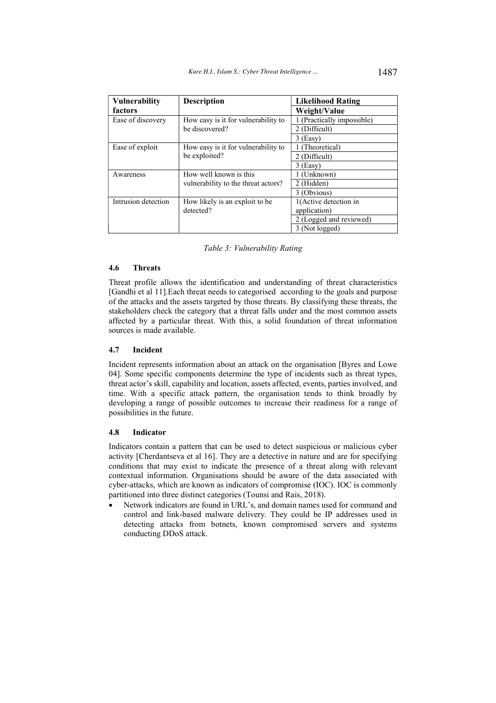| Vulnerability       | <b>Description</b>                  | <b>Likelihood Rating</b>   |
|---------------------|-------------------------------------|----------------------------|
| factors             |                                     | Weight/Value               |
| Ease of discovery   | How easy is it for vulnerability to | 1 (Practically impossible) |
|                     | be discovered?                      | 2 (Difficult)              |
|                     |                                     | $3$ (Easy)                 |
| Ease of exploit     | How easy is it for vulnerability to | 1 (Theoretical)            |
|                     | be exploited?                       | 2 (Difficult)              |
|                     |                                     | $3$ (Easy)                 |
| Awareness           | How well known is this              | 1 (Unknown)                |
|                     | vulnerability to the threat actors? | 2 (Hidden)                 |
|                     |                                     | 3 (Obvious)                |
| Intrusion detection | How likely is an exploit to be      | 1(Active detection in      |
|                     | detected?                           | application)               |
|                     |                                     | 2 (Logged and reviewed)    |
|                     |                                     | 3 (Not logged)             |

Table 3: Vulnerability Rating

### $4.6$ **Threats**

Threat profile allows the identification and understanding of threat characteristics [Gandhi et al 11]. Each threat needs to categorised according to the goals and purpose of the attacks and the assets targeted by those threats. By classifying these threats, the stakeholders check the category that a threat falls under and the most common assets affected by a particular threat. With this, a solid foundation of threat information sources is made available.

#### 4.7 Incident

Incident represents information about an attack on the organisation [Byres and Lowe 04]. Some specific components determine the type of incidents such as threat types, threat actor's skill, capability and location, assets affected, events, parties involved, and time. With a specific attack pattern, the organisation tends to think broadly by developing a range of possible outcomes to increase their readiness for a range of possibilities in the future.

#### 4.8 **Indicator**

Indicators contain a pattern that can be used to detect suspicious or malicious cyber activity [Cherdantseva et al 16]. They are a detective in nature and are for specifying conditions that may exist to indicate the presence of a threat along with relevant contextual information. Organisations should be aware of the data associated with cyber-attacks, which are known as indicators of compromise (IOC). IOC is commonly partitioned into three distinct categories (Tounsi and Rais, 2018).

Network indicators are found in URL's, and domain names used for command and control and link-based malware delivery. They could be IP addresses used in detecting attacks from botnets, known compromised servers and systems conducting DDoS attack.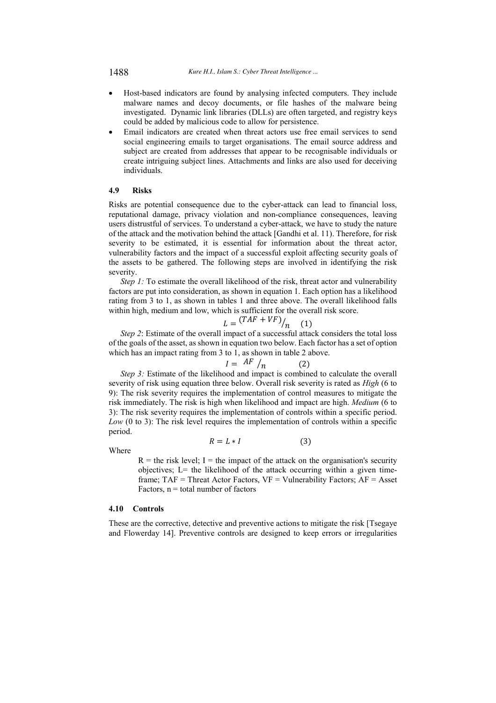Kure H.I., Islam S.: Cyber Threat Intelligence ...

- Host-based indicators are found by analysing infected computers. They include malware names and decoy documents, or file hashes of the malware being investigated. Dynamic link libraries (DLLs) are often targeted, and registry keys could be added by malicious code to allow for persistence.
- Email indicators are created when threat actors use free email services to send social engineering emails to target organisations. The email source address and subject are created from addresses that appear to be recognisable individuals or create intriguing subject lines. Attachments and links are also used for deceiving individuals.

### 4.9 **Risks**

Risks are potential consequence due to the cyber-attack can lead to financial loss, reputational damage, privacy violation and non-compliance consequences, leaving users distrustful of services. To understand a cyber-attack, we have to study the nature of the attack and the motivation behind the attack [Gandhi et al. 11). Therefore, for risk severity to be estimated, it is essential for information about the threat actor, vulnerability factors and the impact of a successful exploit affecting security goals of the assets to be gathered. The following steps are involved in identifying the risk severity.

*Step 1:* To estimate the overall likelihood of the risk, threat actor and vulnerability factors are put into consideration, as shown in equation 1. Each option has a likelihood rating from 3 to 1, as shown in tables 1 and three above. The overall likelihood falls within high, medium and low, which is sufficient for the overall risk score.

$$
L = \frac{(TAF + VF)}{n} \tag{1}
$$

Step 2: Estimate of the overall impact of a successful attack considers the total loss of the goals of the asset, as shown in equation two below. Each factor has a set of option which has an impact rating from 3 to 1, as shown in table 2 above.

$$
=
$$
 AF  $/n$ 

Step 3: Estimate of the likelihood and impact is combined to calculate the overall severity of risk using equation three below. Overall risk severity is rated as *High* (6 to 9): The risk severity requires the implementation of control measures to mitigate the risk immediately. The risk is high when likelihood and impact are high. Medium (6 to 3): The risk severity requires the implementation of controls within a specific period.  $Low (0 to 3)$ : The risk level requires the implementation of controls within a specific period.

Where

$$
R = L \ast I \tag{3}
$$

 $R =$  the risk level; I = the impact of the attack on the organisation's security objectives; L= the likelihood of the attack occurring within a given timeframe; TAF = Threat Actor Factors,  $VF =$  Vulnerability Factors;  $AF =$  Asset Factors,  $n =$  total number of factors

# 4.10 Controls

These are the corrective, detective and preventive actions to mitigate the risk [Tsegaye] and Flowerday 14]. Preventive controls are designed to keep errors or irregularities

1488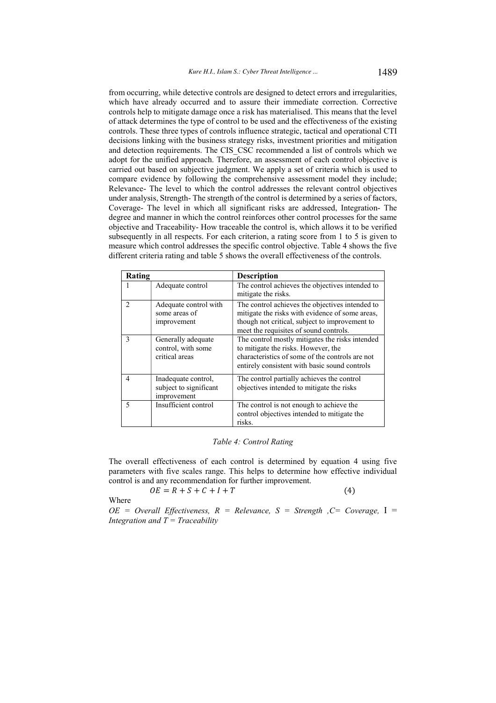from occurring, while detective controls are designed to detect errors and irregularities, which have already occurred and to assure their immediate correction. Corrective controls help to mitigate damage once a risk has materialised. This means that the level of attack determines the type of control to be used and the effectiveness of the existing controls. These three types of controls influence strategic, tactical and operational CTI decisions linking with the business strategy risks, investment priorities and mitigation and detection requirements. The CIS CSC recommended a list of controls which we adopt for the unified approach. Therefore, an assessment of each control objective is carried out based on subjective judgment. We apply a set of criteria which is used to compare evidence by following the comprehensive assessment model they include; Relevance- The level to which the control addresses the relevant control objectives under analysis, Strength-The strength of the control is determined by a series of factors, Coverage- The level in which all significant risks are addressed, Integration- The degree and manner in which the control reinforces other control processes for the same objective and Traceability-How traceable the control is, which allows it to be verified subsequently in all respects. For each criterion, a rating score from 1 to 5 is given to measure which control addresses the specific control objective. Table 4 shows the five different criteria rating and table 5 shows the overall effectiveness of the controls.

| Rating        |                                                              | <b>Description</b>                                                                                                                                                                             |
|---------------|--------------------------------------------------------------|------------------------------------------------------------------------------------------------------------------------------------------------------------------------------------------------|
|               | Adequate control                                             | The control achieves the objectives intended to<br>mitigate the risks.                                                                                                                         |
| $\mathcal{L}$ | Adequate control with<br>some areas of<br>improvement        | The control achieves the objectives intended to<br>mitigate the risks with evidence of some areas,<br>though not critical, subject to improvement to<br>meet the requisites of sound controls. |
| 3             | Generally adequate<br>control, with some<br>critical areas   | The control mostly mitigates the risks intended<br>to mitigate the risks. However, the<br>characteristics of some of the controls are not<br>entirely consistent with basic sound controls     |
| 4             | Inadequate control,<br>subject to significant<br>improvement | The control partially achieves the control<br>objectives intended to mitigate the risks                                                                                                        |
| 5             | Insufficient control                                         | The control is not enough to achieve the<br>control objectives intended to mitigate the<br>risks.                                                                                              |

# Table 4: Control Rating

The overall effectiveness of each control is determined by equation 4 using five parameters with five scales range. This helps to determine how effective individual control is and any recommendation for further improvement.

 $(4)$ 

$$
OE = R + S + C + I + T
$$

Where

 $OE = Overall$  Effectiveness,  $R = Release$ ,  $S = Strength$ ,  $C = Coverage$ ,  $I =$ Integration and  $T = Traceability$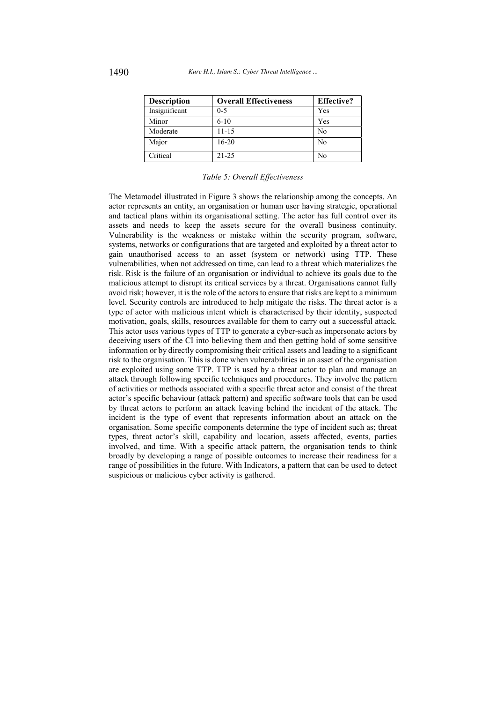| <b>Description</b> | <b>Overall Effectiveness</b> | <b>Effective?</b> |
|--------------------|------------------------------|-------------------|
| Insignificant      | $0 - 5$                      | Yes               |
| Minor              | $6 - 10$                     | Yes               |
| Moderate           | $11 - 15$                    | No                |
| Major              | $16 - 20$                    | No                |
| Critical           | $21 - 25$                    | No                |

# Table 5: Overall Effectiveness

The Metamodel illustrated in Figure 3 shows the relationship among the concepts. An actor represents an entity, an organisation or human user having strategic, operational and tactical plans within its organisational setting. The actor has full control over its assets and needs to keep the assets secure for the overall business continuity. Vulnerability is the weakness or mistake within the security program, software, systems, networks or configurations that are targeted and exploited by a threat actor to gain unauthorised access to an asset (system or network) using TTP. These vulnerabilities, when not addressed on time, can lead to a threat which materializes the risk. Risk is the failure of an organisation or individual to achieve its goals due to the malicious attempt to disrupt its critical services by a threat. Organisations cannot fully avoid risk; however, it is the role of the actors to ensure that risks are kept to a minimum level. Security controls are introduced to help mitigate the risks. The threat actor is a type of actor with malicious intent which is characterised by their identity, suspected motivation, goals, skills, resources available for them to carry out a successful attack. This actor uses various types of TTP to generate a cyber-such as impersonate actors by deceiving users of the CI into believing them and then getting hold of some sensitive information or by directly compromising their critical assets and leading to a significant risk to the organisation. This is done when vulnerabilities in an asset of the organisation are exploited using some TTP. TTP is used by a threat actor to plan and manage an attack through following specific techniques and procedures. They involve the pattern of activities or methods associated with a specific threat actor and consist of the threat actor's specific behaviour (attack pattern) and specific software tools that can be used by threat actors to perform an attack leaving behind the incident of the attack. The incident is the type of event that represents information about an attack on the organisation. Some specific components determine the type of incident such as; threat types, threat actor's skill, capability and location, assets affected, events, parties involved, and time. With a specific attack pattern, the organisation tends to think broadly by developing a range of possible outcomes to increase their readiness for a range of possibilities in the future. With Indicators, a pattern that can be used to detect suspicious or malicious cyber activity is gathered.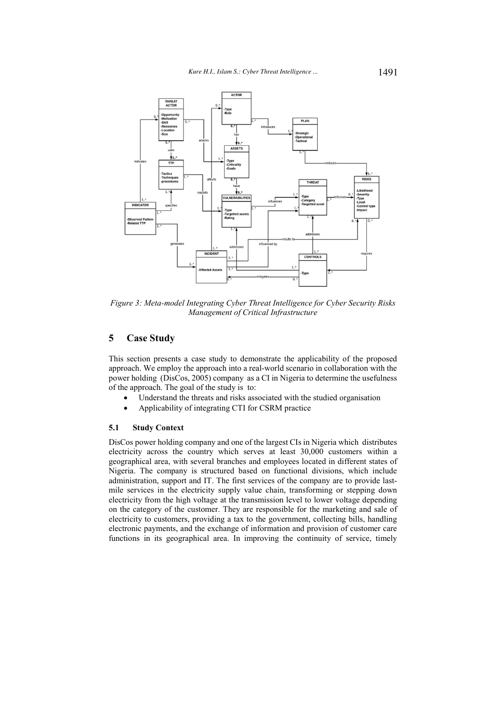

Figure 3: Meta-model Integrating Cyber Threat Intelligence for Cyber Security Risks Management of Critical Infrastructure

## 5 **Case Study**

This section presents a case study to demonstrate the applicability of the proposed approach. We employ the approach into a real-world scenario in collaboration with the power holding (DisCos, 2005) company as a CI in Nigeria to determine the usefulness of the approach. The goal of the study is to:

- Understand the threats and risks associated with the studied organisation
- Applicability of integrating CTI for CSRM practice

#### 5.1 **Study Context**

DisCos power holding company and one of the largest CIs in Nigeria which distributes electricity across the country which serves at least 30,000 customers within a geographical area, with several branches and employees located in different states of Nigeria. The company is structured based on functional divisions, which include administration, support and IT. The first services of the company are to provide lastmile services in the electricity supply value chain, transforming or stepping down electricity from the high voltage at the transmission level to lower voltage depending on the category of the customer. They are responsible for the marketing and sale of electricity to customers, providing a tax to the government, collecting bills, handling electronic payments, and the exchange of information and provision of customer care functions in its geographical area. In improving the continuity of service, timely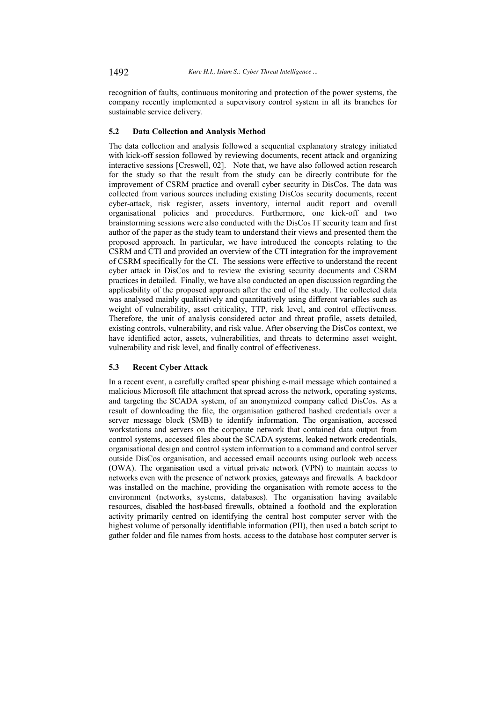recognition of faults, continuous monitoring and protection of the power systems, the company recently implemented a supervisory control system in all its branches for sustainable service delivery.

### $5.2$ **Data Collection and Analysis Method**

The data collection and analysis followed a sequential explanatory strategy initiated with kick-off session followed by reviewing documents, recent attack and organizing interactive sessions [Creswell, 02]. Note that, we have also followed action research for the study so that the result from the study can be directly contribute for the improvement of CSRM practice and overall cyber security in DisCos. The data was collected from various sources including existing DisCos security documents, recent cyber-attack, risk register, assets inventory, internal audit report and overall organisational policies and procedures. Furthermore, one kick-off and two brainstorming sessions were also conducted with the DisCos IT security team and first author of the paper as the study team to understand their views and presented them the proposed approach. In particular, we have introduced the concepts relating to the CSRM and CTI and provided an overview of the CTI integration for the improvement of CSRM specifically for the CI. The sessions were effective to understand the recent cyber attack in DisCos and to review the existing security documents and CSRM practices in detailed. Finally, we have also conducted an open discussion regarding the applicability of the proposed approach after the end of the study. The collected data was analysed mainly qualitatively and quantitatively using different variables such as weight of vulnerability, asset criticality, TTP, risk level, and control effectiveness. Therefore, the unit of analysis considered actor and threat profile, assets detailed, existing controls, vulnerability, and risk value. After observing the DisCos context, we have identified actor, assets, vulnerabilities, and threats to determine asset weight, vulnerability and risk level, and finally control of effectiveness.

#### **Recent Cyber Attack**  $5.3$

In a recent event, a carefully crafted spear phishing e-mail message which contained a malicious Microsoft file attachment that spread across the network, operating systems, and targeting the SCADA system, of an anonymized company called DisCos. As a result of downloading the file, the organisation gathered hashed credentials over a server message block (SMB) to identify information. The organisation, accessed workstations and servers on the corporate network that contained data output from control systems, accessed files about the SCADA systems, leaked network credentials, organisational design and control system information to a command and control server outside DisCos organisation, and accessed email accounts using outlook web access (OWA). The organisation used a virtual private network (VPN) to maintain access to networks even with the presence of network proxies, gateways and firewalls. A backdoor was installed on the machine, providing the organisation with remote access to the environment (networks, systems, databases). The organisation having available resources, disabled the host-based firewalls, obtained a foothold and the exploration activity primarily centred on identifying the central host computer server with the highest volume of personally identifiable information (PII), then used a batch script to gather folder and file names from hosts. access to the database host computer server is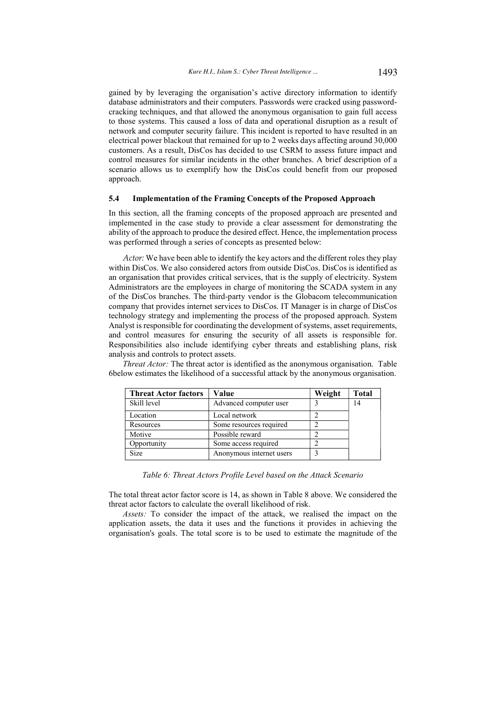gained by by leveraging the organisation's active directory information to identify database administrators and their computers. Passwords were cracked using passwordcracking techniques, and that allowed the anonymous organisation to gain full access to those systems. This caused a loss of data and operational disruption as a result of network and computer security failure. This incident is reported to have resulted in an electrical power blackout that remained for up to 2 weeks days affecting around 30,000 customers. As a result, DisCos has decided to use CSRM to assess future impact and control measures for similar incidents in the other branches. A brief description of a scenario allows us to exemplify how the DisCos could benefit from our proposed approach.

#### $5.4$ **Implementation of the Framing Concepts of the Proposed Approach**

In this section, all the framing concepts of the proposed approach are presented and implemented in the case study to provide a clear assessment for demonstrating the ability of the approach to produce the desired effect. Hence, the implementation process was performed through a series of concepts as presented below:

Actor: We have been able to identify the key actors and the different roles they play within DisCos. We also considered actors from outside DisCos. DisCos is identified as an organisation that provides critical services, that is the supply of electricity. System Administrators are the employees in charge of monitoring the SCADA system in any of the DisCos branches. The third-party vendor is the Globacom telecommunication company that provides internet services to DisCos. IT Manager is in charge of DisCos technology strategy and implementing the process of the proposed approach. System Analyst is responsible for coordinating the development of systems, asset requirements, and control measures for ensuring the security of all assets is responsible for. Responsibilities also include identifying cyber threats and establishing plans, risk analysis and controls to protect assets.

| <b>Threat Actor factors</b> | Value                    |  | <b>Total</b> |
|-----------------------------|--------------------------|--|--------------|
| Skill level                 | Advanced computer user   |  | 14           |
| Location                    | Local network            |  |              |
| Resources                   | Some resources required  |  |              |
| Motive                      | Possible reward          |  |              |
| Opportunity                 | Some access required     |  |              |
| Size                        | Anonymous internet users |  |              |

*Threat Actor:* The threat actor is identified as the anonymous organisation. Table 6below estimates the likelihood of a successful attack by the anonymous organisation.

Table 6: Threat Actors Profile Level based on the Attack Scenario

The total threat actor factor score is 14, as shown in Table 8 above. We considered the threat actor factors to calculate the overall likelihood of risk.

Assets: To consider the impact of the attack, we realised the impact on the application assets, the data it uses and the functions it provides in achieving the organisation's goals. The total score is to be used to estimate the magnitude of the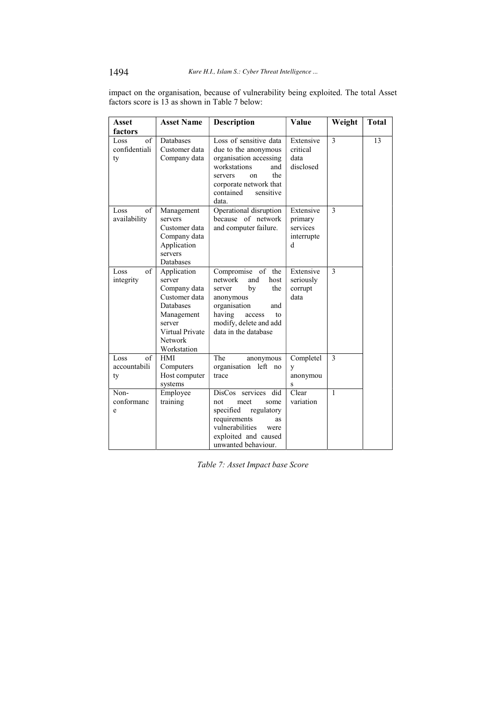impact on the organisation, because of vulnerability being exploited. The total Asset factors score is 13 as shown in Table 7 below:

| <b>Asset</b>                      | <b>Asset Name</b>                                                                                                                               | <b>Description</b>                                                                                                                                                                              | Value                                               | Weight       | <b>Total</b> |
|-----------------------------------|-------------------------------------------------------------------------------------------------------------------------------------------------|-------------------------------------------------------------------------------------------------------------------------------------------------------------------------------------------------|-----------------------------------------------------|--------------|--------------|
| factors                           |                                                                                                                                                 |                                                                                                                                                                                                 |                                                     |              |              |
| of<br>Loss<br>confidentiali<br>ty | Databases<br>Customer data<br>Company data                                                                                                      | Loss of sensitive data<br>due to the anonymous<br>organisation accessing<br>workstations<br>and<br>the<br>servers<br><sub>on</sub><br>corporate network that<br>contained<br>sensitive<br>data. | Extensive<br>critical<br>data<br>disclosed          | 3            | 13           |
| of<br>Loss<br>availability        | Management<br>servers<br>Customer data<br>Company data<br>Application<br>servers<br>Databases                                                   | Operational disruption<br>because of network<br>and computer failure.                                                                                                                           | Extensive<br>primary<br>services<br>interrupte<br>d | $\mathbf{3}$ |              |
| of<br>Loss<br>integrity           | Application<br>server<br>Company data<br>Customer data<br>Databases<br>Management<br>server<br>Virtual Private<br><b>Network</b><br>Workstation | Compromise of the<br>network<br>and<br>host<br>by<br>the<br>server<br>anonymous<br>organisation<br>and<br>having<br>access<br>to<br>modify, delete and add<br>data in the database              | Extensive<br>seriously<br>corrupt<br>data           | 3            |              |
| of<br>Loss<br>accountabili<br>ty  | <b>HMI</b><br>Computers<br>Host computer<br>systems                                                                                             | The<br>anonymous<br>organisation left no<br>trace                                                                                                                                               | Completel<br>y<br>anonymou<br>S                     | 3            |              |
| Non-<br>conformanc<br>e           | Employee<br>training                                                                                                                            | DisCos services did<br>not<br>meet<br>some<br>specified<br>regulatory<br>requirements<br><b>as</b><br>vulnerabilities<br>were<br>exploited and caused<br>unwanted behaviour.                    | Clear<br>variation                                  | $\mathbf{1}$ |              |

Table 7: Asset Impact base Score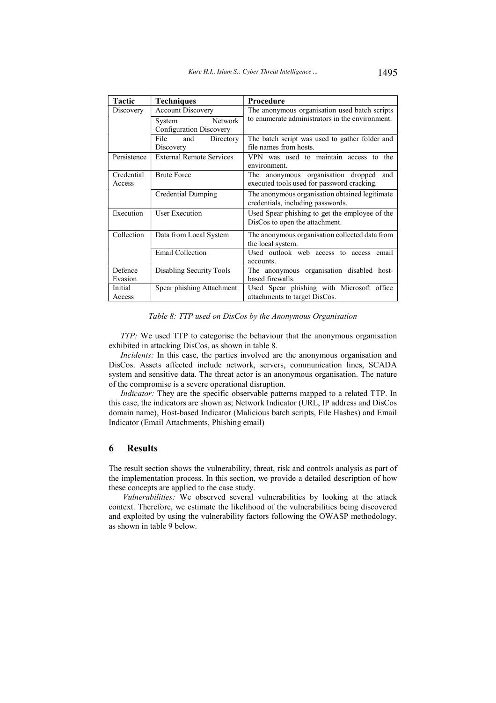| <b>Tactic</b> | <b>Techniques</b>               | Procedure                                       |  |  |
|---------------|---------------------------------|-------------------------------------------------|--|--|
| Discovery     | <b>Account Discovery</b>        | The anonymous organisation used batch scripts   |  |  |
|               | Network<br>System               | to enumerate administrators in the environment. |  |  |
|               | Configuration Discovery         |                                                 |  |  |
|               | and<br>File<br>Directory        | The batch script was used to gather folder and  |  |  |
|               | Discovery                       | file names from hosts.                          |  |  |
| Persistence   | <b>External Remote Services</b> | VPN was used to maintain access to the          |  |  |
|               |                                 | environment.                                    |  |  |
| Credential    | <b>Brute Force</b>              | The anonymous organisation dropped<br>and       |  |  |
| Access        |                                 | executed tools used for password cracking.      |  |  |
|               | Credential Dumping              | The anonymous organisation obtained legitimate  |  |  |
|               |                                 | credentials, including passwords.               |  |  |
| Execution     | <b>User Execution</b>           | Used Spear phishing to get the employee of the  |  |  |
|               |                                 | DisCos to open the attachment.                  |  |  |
| Collection    | Data from Local System          | The anonymous organisation collected data from  |  |  |
|               |                                 | the local system.                               |  |  |
|               | <b>Email Collection</b>         | Used outlook web access to access<br>email      |  |  |
|               |                                 | accounts.                                       |  |  |
| Defence       | Disabling Security Tools        | The anonymous organisation disabled host-       |  |  |
| Evasion       |                                 | based firewalls.                                |  |  |
| Initial       | Spear phishing Attachment       | Used Spear phishing with Microsoft office       |  |  |
| Access        |                                 | attachments to target DisCos.                   |  |  |

# Table 8: TTP used on DisCos by the Anonymous Organisation

TTP: We used TTP to categorise the behaviour that the anonymous organisation exhibited in attacking DisCos, as shown in table 8.

Incidents: In this case, the parties involved are the anonymous organisation and DisCos. Assets affected include network, servers, communication lines, SCADA system and sensitive data. The threat actor is an anonymous organisation. The nature of the compromise is a severe operational disruption.

Indicator: They are the specific observable patterns mapped to a related TTP. In this case, the indicators are shown as; Network Indicator (URL, IP address and DisCos domain name), Host-based Indicator (Malicious batch scripts, File Hashes) and Email Indicator (Email Attachments, Phishing email)

### 6 **Results**

The result section shows the vulnerability, threat, risk and controls analysis as part of the implementation process. In this section, we provide a detailed description of how these concepts are applied to the case study.

Vulnerabilities: We observed several vulnerabilities by looking at the attack context. Therefore, we estimate the likelihood of the vulnerabilities being discovered and exploited by using the vulnerability factors following the OWASP methodology, as shown in table 9 below.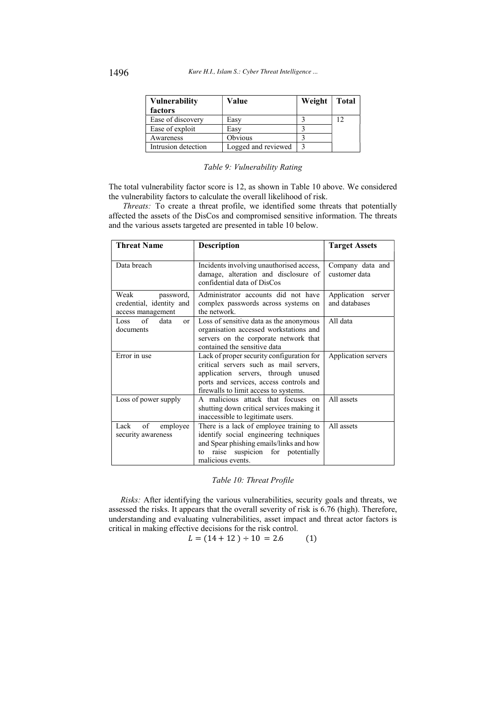| <b>Vulnerability</b><br>Value |                     | Weight | <b>Total</b> |
|-------------------------------|---------------------|--------|--------------|
| factors                       |                     |        |              |
| Ease of discovery             | Easv                |        | 12           |
| Ease of exploit               | Easv                |        |              |
| Awareness                     | Obvious             |        |              |
| Intrusion detection           | Logged and reviewed |        |              |

# Table 9: Vulnerability Rating

The total vulnerability factor score is 12, as shown in Table 10 above. We considered the vulnerability factors to calculate the overall likelihood of risk.

Threats: To create a threat profile, we identified some threats that potentially affected the assets of the DisCos and compromised sensitive information. The threats and the various assets targeted are presented in table 10 below.

| <b>Threat Name</b>                                                 | <b>Description</b>                                                                                                                                                                                             | <b>Target Assets</b>                   |
|--------------------------------------------------------------------|----------------------------------------------------------------------------------------------------------------------------------------------------------------------------------------------------------------|----------------------------------------|
| Data breach                                                        | Incidents involving unauthorised access,<br>damage, alteration and disclosure of<br>confidential data of DisCos                                                                                                | Company data and<br>customer data      |
| Weak<br>password,<br>credential, identity and<br>access management | Administrator accounts did not have<br>complex passwords across systems on<br>the network.                                                                                                                     | Application<br>server<br>and databases |
| Loss of<br>data<br><sub>or</sub><br>documents                      | Loss of sensitive data as the anonymous<br>organisation accessed workstations and<br>servers on the corporate network that<br>contained the sensitive data                                                     | All data                               |
| Error in use                                                       | Lack of proper security configuration for<br>critical servers such as mail servers,<br>application servers, through unused<br>ports and services, access controls and<br>firewalls to limit access to systems. | Application servers                    |
| Loss of power supply                                               | A malicious attack that focuses on<br>shutting down critical services making it<br>inaccessible to legitimate users.                                                                                           | All assets                             |
| of<br>Lack<br>employee<br>security awareness                       | There is a lack of employee training to<br>identify social engineering techniques<br>and Spear phishing emails/links and how<br>raise suspicion for potentially<br>to<br>malicious events.                     | All assets                             |

Table 10: Threat Profile

Risks: After identifying the various vulnerabilities, security goals and threats, we assessed the risks. It appears that the overall severity of risk is 6.76 (high). Therefore, understanding and evaluating vulnerabilities, asset impact and threat actor factors is critical in making effective decisions for the risk control.

 $L = (14 + 12) \div 10 = 2.6$  $(1)$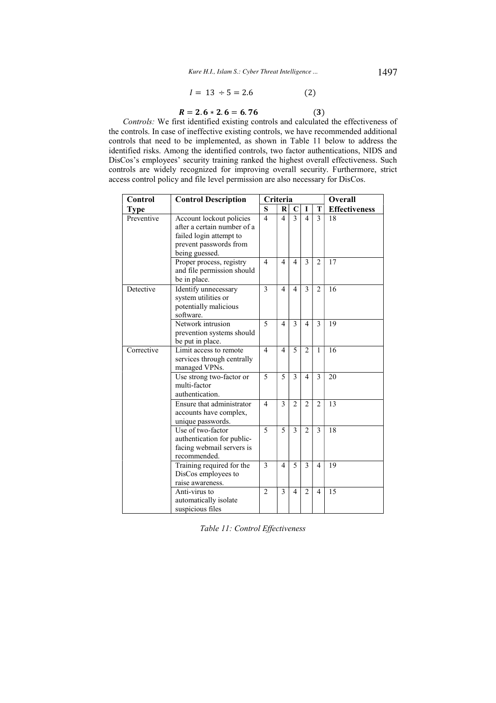$$
I = 13 \div 5 = 2.6 \tag{2}
$$

 $(3)$ 

$$
R=2.6*2.6=6.76
$$

Controls: We first identified existing controls and calculated the effectiveness of the controls. In case of ineffective existing controls, we have recommended additional controls that need to be implemented, as shown in Table 11 below to address the identified risks. Among the identified controls, two factor authentications, NIDS and DisCos's employees' security training ranked the highest overall effectiveness. Such controls are widely recognized for improving overall security. Furthermore, strict access control policy and file level permission are also necessary for DisCos.

| Control     | <b>Control Description</b>                                                                                                     | Criteria       |                         |                |                          | Overall        |                      |
|-------------|--------------------------------------------------------------------------------------------------------------------------------|----------------|-------------------------|----------------|--------------------------|----------------|----------------------|
| <b>Type</b> |                                                                                                                                | S              | $\mathbf{R}$            | C              | $\mathbf I$              | T              | <b>Effectiveness</b> |
| Preventive  | Account lockout policies<br>after a certain number of a<br>failed login attempt to<br>prevent passwords from<br>being guessed. | $\overline{4}$ | $\overline{\mathbf{4}}$ | 3              | $\overline{4}$           | 3              | 18                   |
|             | Proper process, registry<br>and file permission should<br>be in place.                                                         | $\overline{4}$ | $\overline{4}$          | 4              | $\mathcal{E}$            | $\overline{2}$ | 17                   |
| Detective   | Identify unnecessary<br>system utilities or<br>potentially malicious<br>software.                                              | 3              | $\overline{4}$          | 4              | 3                        | $\overline{2}$ | 16                   |
|             | Network intrusion<br>prevention systems should<br>be put in place.                                                             | 5              | $\overline{4}$          | 3              | 4                        | 3              | 19                   |
| Corrective  | Limit access to remote<br>services through centrally<br>managed VPNs.                                                          | $\overline{4}$ | $\overline{4}$          | 5              | $\overline{c}$           | $\mathbf{1}$   | 16                   |
|             | Use strong two-factor or<br>multi-factor<br>authentication.                                                                    | 5              | 5                       | 3              | $\overline{\mathcal{L}}$ | 3              | 20                   |
|             | Ensure that administrator<br>accounts have complex,<br>unique passwords.                                                       | $\overline{4}$ | $\overline{3}$          | $\overline{2}$ | $\overline{2}$           | $\overline{2}$ | 13                   |
|             | Use of two-factor<br>authentication for public-<br>facing webmail servers is<br>recommended.                                   | 5              | 5                       | 3              | $\overline{2}$           | 3              | 18                   |
|             | Training required for the<br>DisCos employees to<br>raise awareness.                                                           | 3              | $\overline{4}$          | 5              | 3                        | $\overline{4}$ | 19                   |
|             | Anti-virus to<br>automatically isolate<br>suspicious files                                                                     | $\overline{2}$ | 3                       | 4              | $\overline{2}$           | $\overline{4}$ | 15                   |

Table 11: Control Effectiveness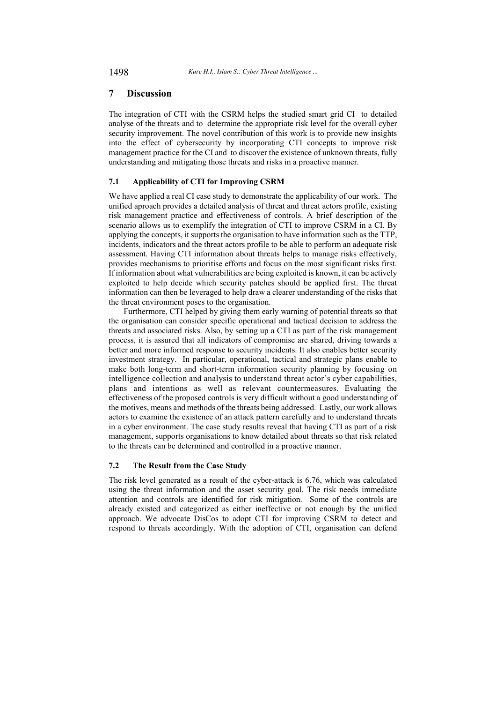### 7 **Discussion**

The integration of CTI with the CSRM helps the studied smart grid CI to detailed analyse of the threats and to determine the appropriate risk level for the overall cyber security improvement. The novel contribution of this work is to provide new insights into the effect of cybersecurity by incorporating CTI concepts to improve risk management practice for the CI and to discover the existence of unknown threats, fully understanding and mitigating those threats and risks in a proactive manner.

### $7.1$ **Applicability of CTI for Improving CSRM**

We have applied a real CI case study to demonstrate the applicability of our work. The unified aproach provides a detailed analysis of threat and threat actors profile, existing risk management practice and effectiveness of controls. A brief description of the scenario allows us to exemplify the integration of CTI to improve CSRM in a CI. By applying the concepts, it supports the organisation to have information such as the TTP. incidents, indicators and the threat actors profile to be able to perform an adequate risk assessment. Having CTI information about threats helps to manage risks effectively, provides mechanisms to prioritise efforts and focus on the most significant risks first. If information about what vulnerabilities are being exploited is known, it can be actively exploited to help decide which security patches should be applied first. The threat information can then be leveraged to help draw a clearer understanding of the risks that the threat environment poses to the organisation.

Furthermore, CTI helped by giving them early warning of potential threats so that the organisation can consider specific operational and tactical decision to address the threats and associated risks. Also, by setting up a CTI as part of the risk management process, it is assured that all indicators of compromise are shared, driving towards a better and more informed response to security incidents. It also enables better security investment strategy. In particular, operational, tactical and strategic plans enable to make both long-term and short-term information security planning by focusing on intelligence collection and analysis to understand threat actor's cyber capabilities, plans and intentions as well as relevant countermeasures. Evaluating the effectiveness of the proposed controls is very difficult without a good understanding of the motives, means and methods of the threats being addressed. Lastly, our work allows actors to examine the existence of an attack pattern carefully and to understand threats in a cyber environment. The case study results reveal that having CTI as part of a risk management, supports organisations to know detailed about threats so that risk related to the threats can be determined and controlled in a proactive manner.

#### $7.2$ The Result from the Case Study

The risk level generated as a result of the cyber-attack is 6.76, which was calculated using the threat information and the asset security goal. The risk needs immediate attention and controls are identified for risk mitigation. Some of the controls are already existed and categorized as either ineffective or not enough by the unified approach. We advocate DisCos to adopt CTI for improving CSRM to detect and respond to threats accordingly. With the adoption of CTI, organisation can defend

1498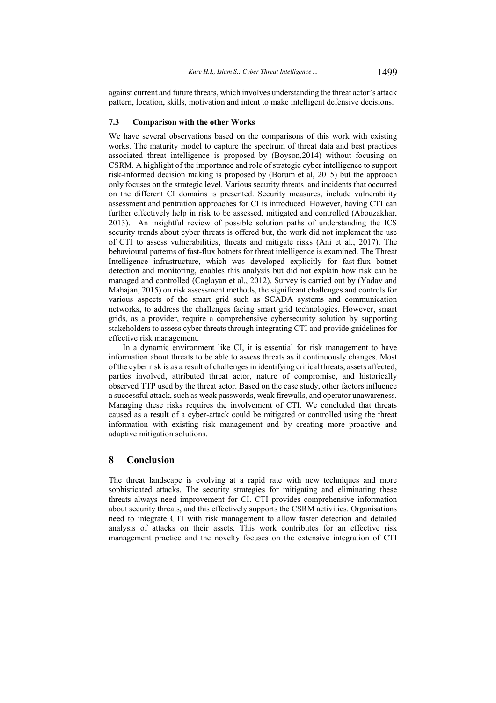against current and future threats, which involves understanding the threat actor's attack pattern, location, skills, motivation and intent to make intelligent defensive decisions.

#### $7.3$ **Comparison with the other Works**

We have several observations based on the comparisons of this work with existing works. The maturity model to capture the spectrum of threat data and best practices associated threat intelligence is proposed by (Boyson, 2014) without focusing on CSRM. A highlight of the importance and role of strategic cyber intelligence to support risk-informed decision making is proposed by (Borum et al, 2015) but the approach only focuses on the strategic level. Various security threats and incidents that occurred on the different CI domains is presented. Security measures, include vulnerability assessment and pentration approaches for CI is introduced. However, having CTI can further effectively help in risk to be assessed, mitigated and controlled (Abouzakhar, 2013). An insightful review of possible solution paths of understanding the ICS security trends about cyber threats is offered but, the work did not implement the use of CTI to assess vulnerabilities, threats and mitigate risks (Ani et al., 2017). The behavioural patterns of fast-flux botnets for threat intelligence is examined. The Threat Intelligence infrastructure, which was developed explicitly for fast-flux botnet detection and monitoring, enables this analysis but did not explain how risk can be managed and controlled (Caglayan et al., 2012). Survey is carried out by (Yadav and Mahajan, 2015) on risk assessment methods, the significant challenges and controls for various aspects of the smart grid such as SCADA systems and communication networks, to address the challenges facing smart grid technologies. However, smart grids, as a provider, require a comprehensive cybersecurity solution by supporting stakeholders to assess cyber threats through integrating CTI and provide guidelines for effective risk management.

In a dynamic environment like CI, it is essential for risk management to have information about threats to be able to assess threats as it continuously changes. Most of the cyber risk is as a result of challenges in identifying critical threats, assets affected, parties involved, attributed threat actor, nature of compromise, and historically observed TTP used by the threat actor. Based on the case study, other factors influence a successful attack, such as weak passwords, weak firewalls, and operator unawareness. Managing these risks requires the involvement of CTI. We concluded that threats caused as a result of a cyber-attack could be mitigated or controlled using the threat information with existing risk management and by creating more proactive and adaptive mitigation solutions.

### 8 **Conclusion**

The threat landscape is evolving at a rapid rate with new techniques and more sophisticated attacks. The security strategies for mitigating and eliminating these threats always need improvement for CI. CTI provides comprehensive information about security threats, and this effectively supports the CSRM activities. Organisations need to integrate CTI with risk management to allow faster detection and detailed analysis of attacks on their assets. This work contributes for an effective risk management practice and the novelty focuses on the extensive integration of CTI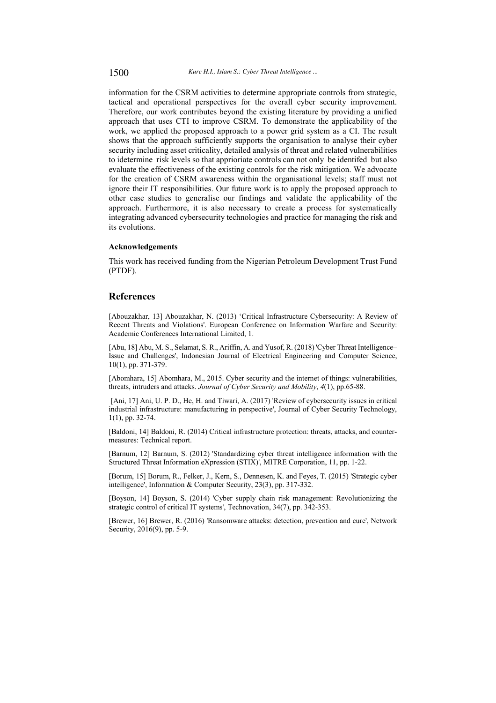information for the CSRM activities to determine appropriate controls from strategic, tactical and operational perspectives for the overall cyber security improvement. Therefore, our work contributes beyond the existing literature by providing a unified approach that uses CTI to improve CSRM. To demonstrate the applicability of the work, we applied the proposed approach to a power grid system as a CI. The result shows that the approach sufficiently supports the organisation to analyse their cyber security including asset criticality, detailed analysis of threat and related vulnerabilities to idetermine risk levels so that apprioriate controls can not only be identifed but also evaluate the effectiveness of the existing controls for the risk mitigation. We advocate for the creation of CSRM awareness within the organisational levels; staff must not ignore their IT responsibilities. Our future work is to apply the proposed approach to other case studies to generalise our findings and validate the applicability of the approach. Furthermore, it is also necessary to create a process for systematically integrating advanced cybersecurity technologies and practice for managing the risk and its evolutions.

# Acknowledgements

This work has received funding from the Nigerian Petroleum Development Trust Fund  $(PTDF).$ 

# **References**

[Abouzakhar, 13] Abouzakhar, N. (2013) 'Critical Infrastructure Cybersecurity: A Review of Recent Threats and Violations'. European Conference on Information Warfare and Security: Academic Conferences International Limited, 1.

[Abu, 18] Abu, M. S., Selamat, S. R., Ariffin, A. and Yusof, R. (2018) 'Cyber Threat Intelligence-Issue and Challenges', Indonesian Journal of Electrical Engineering and Computer Science, 10(1), pp. 371-379.

[Abomhara, 15] Abomhara, M., 2015. Cyber security and the internet of things: vulnerabilities, threats, intruders and attacks. Journal of Cyber Security and Mobility, 4(1), pp.65-88.

[Ani, 17] Ani, U. P. D., He, H. and Tiwari, A. (2017) 'Review of cybersecurity issues in critical industrial infrastructure: manufacturing in perspective', Journal of Cyber Security Technology,  $1(1)$ , pp. 32-74.

[Baldoni, 14] Baldoni, R. (2014) Critical infrastructure protection: threats, attacks, and countermeasures: Technical report.

[Barnum, 12] Barnum, S. (2012) 'Standardizing cyber threat intelligence information with the Structured Threat Information eXpression (STIX)', MITRE Corporation, 11, pp. 1-22.

[Borum, 15] Borum, R., Felker, J., Kern, S., Dennesen, K. and Feyes, T. (2015) 'Strategic cyber intelligence', Information & Computer Security, 23(3), pp. 317-332.

[Boyson, 14] Boyson, S. (2014) 'Cyber supply chain risk management: Revolutionizing the strategic control of critical IT systems', Technovation, 34(7), pp. 342-353.

[Brewer, 16] Brewer, R. (2016) 'Ransomware attacks: detection, prevention and cure', Network Security, 2016(9), pp. 5-9.

1500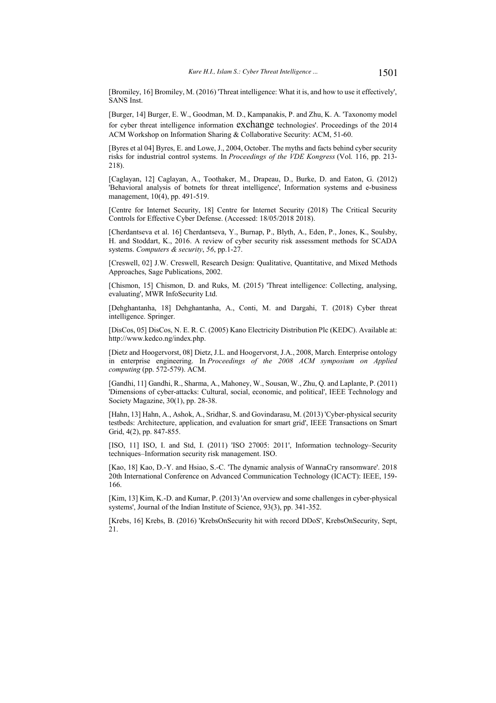[Bromiley, 16] Bromiley, M. (2016) Threat intelligence: What it is, and how to use it effectively'. **SANS** Inst.

[Burger, 14] Burger, E. W., Goodman, M. D., Kampanakis, P. and Zhu, K. A. 'Taxonomy model for cyber threat intelligence information exchange technologies'. Proceedings of the 2014 ACM Workshop on Information Sharing & Collaborative Security: ACM, 51-60.

[Byres et al 04] Byres, E. and Lowe, J., 2004, October. The myths and facts behind cyber security risks for industrial control systems. In Proceedings of the VDE Kongress (Vol. 116, pp. 213-218).

[Caglayan, 12] Caglayan, A., Toothaker, M., Drapeau, D., Burke, D. and Eaton, G. (2012) Behavioral analysis of botnets for threat intelligence', Information systems and e-business management, 10(4), pp. 491-519.

[Centre for Internet Security, 18] Centre for Internet Security (2018) The Critical Security Controls for Effective Cyber Defense. (Accessed: 18/05/2018 2018).

[Cherdantseva et al. 16] Cherdantseva, Y., Burnap, P., Blyth, A., Eden, P., Jones, K., Soulsby, H. and Stoddart, K., 2016. A review of cyber security risk assessment methods for SCADA systems. Computers & security, 56, pp.1-27.

[Creswell, 02] J.W. Creswell, Research Design: Oualitative, Ouantitative, and Mixed Methods Approaches, Sage Publications, 2002.

[Chismon, 15] Chismon, D. and Ruks, M. (2015) 'Threat intelligence: Collecting, analysing, evaluating', MWR InfoSecurity Ltd.

[Dehghantanha, 18] Dehghantanha, A., Conti, M. and Dargahi, T. (2018) Cyber threat intelligence. Springer.

[DisCos, 05] DisCos, N. E. R. C. (2005) Kano Electricity Distribution Plc (KEDC). Available at: http://www.kedco.ng/index.php.

[Dietz and Hoogervorst, 08] Dietz, J.L. and Hoogervorst, J.A., 2008, March. Enterprise ontology in enterprise engineering. In Proceedings of the 2008 ACM symposium on Applied computing (pp. 572-579). ACM.

[Gandhi, 11] Gandhi, R., Sharma, A., Mahoney, W., Sousan, W., Zhu, Q. and Laplante, P. (2011) 'Dimensions of cyber-attacks: Cultural, social, economic, and political', IEEE Technology and Society Magazine, 30(1), pp. 28-38.

[Hahn, 13] Hahn, A., Ashok, A., Sridhar, S. and Govindarasu, M. (2013) 'Cyber-physical security testbeds: Architecture, application, and evaluation for smart grid', IEEE Transactions on Smart Grid, 4(2), pp. 847-855.

[ISO, 11] ISO, I. and Std, I. (2011) 'ISO 27005: 2011', Information technology–Security techniques-Information security risk management. ISO.

[Kao, 18] Kao, D.-Y. and Hsiao, S.-C. 'The dynamic analysis of WannaCry ransomware'. 2018 20th International Conference on Advanced Communication Technology (ICACT): IEEE, 159-166.

[Kim, 13] Kim, K.-D. and Kumar, P. (2013) 'An overview and some challenges in cyber-physical systems', Journal of the Indian Institute of Science, 93(3), pp. 341-352.

[Krebs, 16] Krebs, B. (2016) 'KrebsOnSecurity hit with record DDoS', KrebsOnSecurity, Sept,  $2.1.$